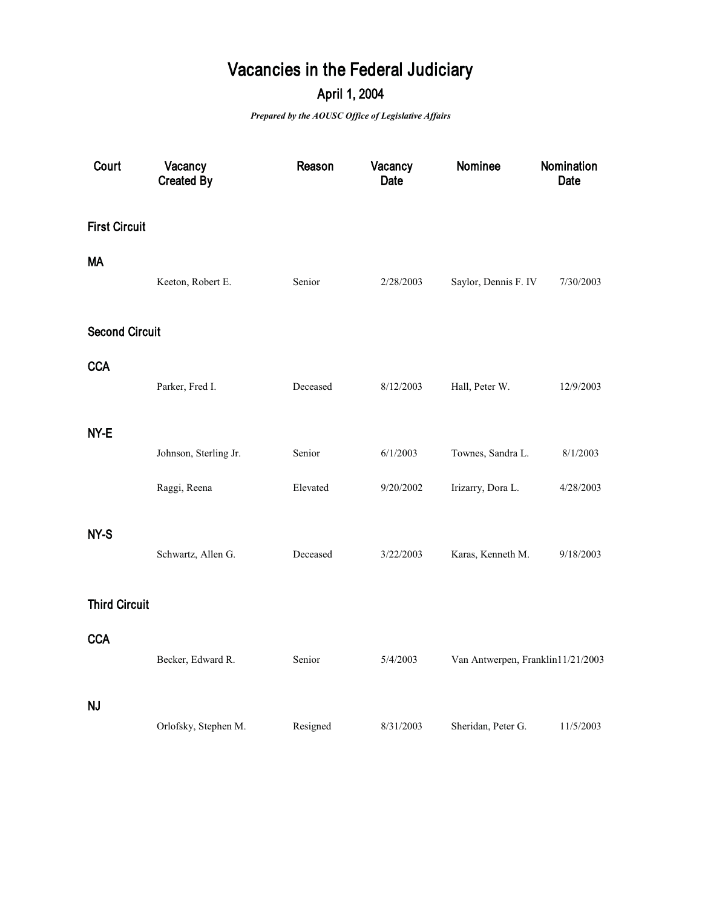## **Vacancies in the Federal Judiciary**

## **April 1, 2004**

*Prepared by the AOUSC Office of Legislative Affairs*

| Court                 | Vacancy<br><b>Created By</b> | Reason   | Vacancy<br><b>Date</b> | Nominee                           | Nomination<br>Date |
|-----------------------|------------------------------|----------|------------------------|-----------------------------------|--------------------|
| <b>First Circuit</b>  |                              |          |                        |                                   |                    |
| <b>MA</b>             | Keeton, Robert E.            | Senior   | 2/28/2003              | Saylor, Dennis F. IV              | 7/30/2003          |
| <b>Second Circuit</b> |                              |          |                        |                                   |                    |
| <b>CCA</b>            | Parker, Fred I.              | Deceased | 8/12/2003              | Hall, Peter W.                    | 12/9/2003          |
| NY-E                  |                              |          |                        |                                   |                    |
|                       | Johnson, Sterling Jr.        | Senior   | 6/1/2003               | Townes, Sandra L.                 | 8/1/2003           |
|                       | Raggi, Reena                 | Elevated | 9/20/2002              | Irizarry, Dora L.                 | 4/28/2003          |
| NY-S                  | Schwartz, Allen G.           | Deceased | 3/22/2003              | Karas, Kenneth M.                 | 9/18/2003          |
| <b>Third Circuit</b>  |                              |          |                        |                                   |                    |
| <b>CCA</b>            | Becker, Edward R.            | Senior   | 5/4/2003               | Van Antwerpen, Franklin11/21/2003 |                    |
| <b>NJ</b>             | Orlofsky, Stephen M.         | Resigned | 8/31/2003              | Sheridan, Peter G.                | 11/5/2003          |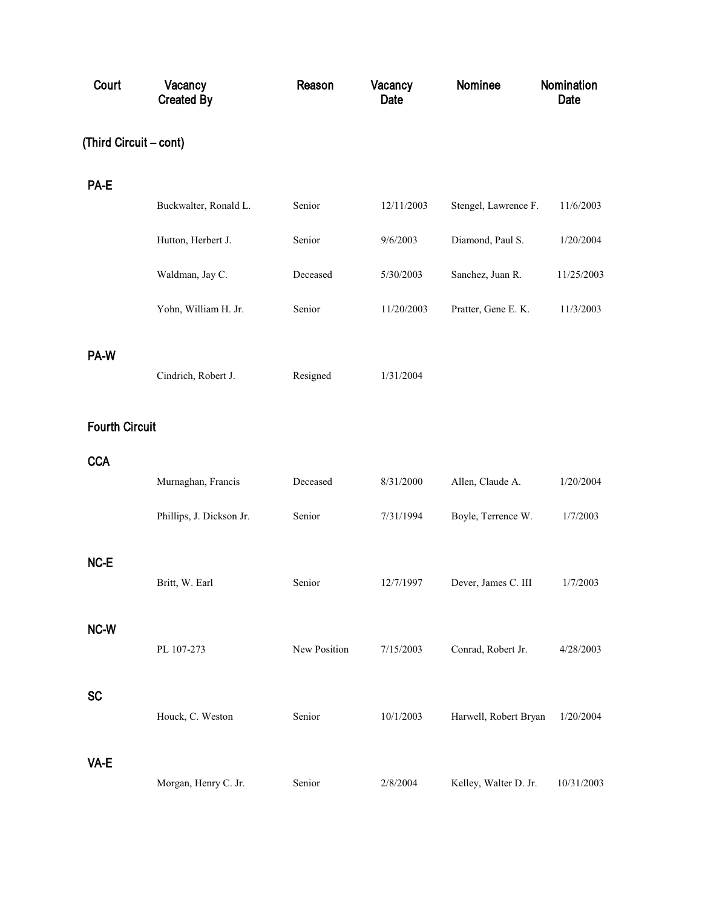| Court                  | Vacancy<br><b>Created By</b> | Reason       | Vacancy<br>Date | Nominee               | Nomination<br>Date |
|------------------------|------------------------------|--------------|-----------------|-----------------------|--------------------|
| (Third Circuit - cont) |                              |              |                 |                       |                    |
| PA-E                   |                              |              |                 |                       |                    |
|                        | Buckwalter, Ronald L.        | Senior       | 12/11/2003      | Stengel, Lawrence F.  | 11/6/2003          |
|                        | Hutton, Herbert J.           | Senior       | 9/6/2003        | Diamond, Paul S.      | 1/20/2004          |
|                        | Waldman, Jay C.              | Deceased     | 5/30/2003       | Sanchez, Juan R.      | 11/25/2003         |
|                        | Yohn, William H. Jr.         | Senior       | 11/20/2003      | Pratter, Gene E. K.   | 11/3/2003          |
| PA-W                   | Cindrich, Robert J.          | Resigned     | 1/31/2004       |                       |                    |
| <b>Fourth Circuit</b>  |                              |              |                 |                       |                    |
| <b>CCA</b>             |                              |              |                 |                       |                    |
|                        | Murnaghan, Francis           | Deceased     | 8/31/2000       | Allen, Claude A.      | 1/20/2004          |
|                        | Phillips, J. Dickson Jr.     | Senior       | 7/31/1994       | Boyle, Terrence W.    | 1/7/2003           |
| NC-E                   | Britt, W. Earl               | Senior       | 12/7/1997       | Dever, James C. III   | 1/7/2003           |
| NC-W                   | PL 107-273                   | New Position | 7/15/2003       | Conrad, Robert Jr.    | 4/28/2003          |
| <b>SC</b>              | Houck, C. Weston             | Senior       | 10/1/2003       | Harwell, Robert Bryan | 1/20/2004          |
| VA-E                   | Morgan, Henry C. Jr.         | Senior       | 2/8/2004        | Kelley, Walter D. Jr. | 10/31/2003         |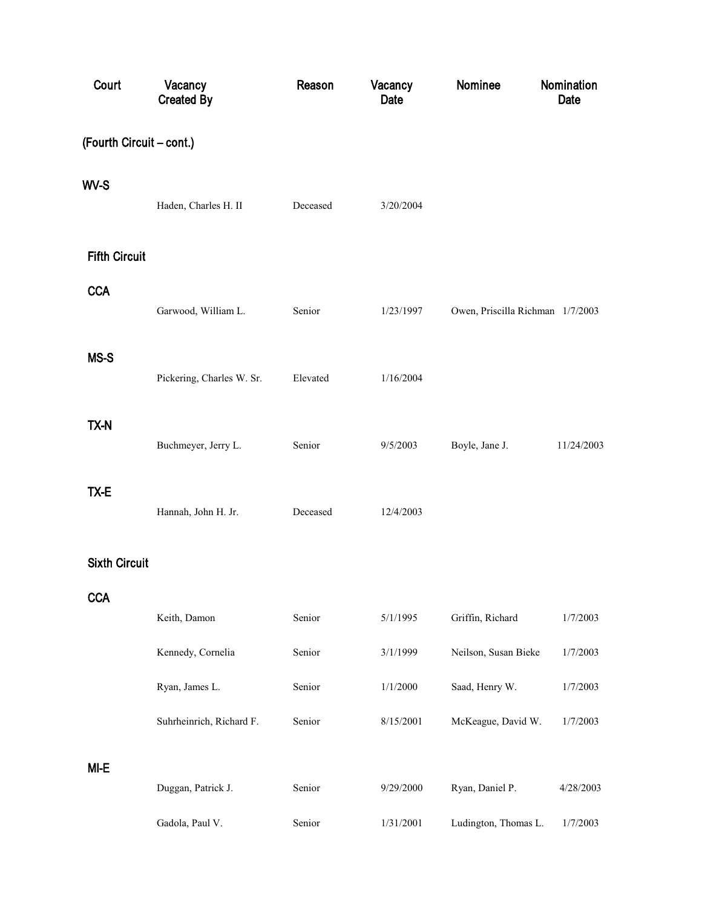| Court                    | Vacancy<br><b>Created By</b> | Reason   | Vacancy<br>Date | Nominee                          | Nomination<br>Date |  |  |
|--------------------------|------------------------------|----------|-----------------|----------------------------------|--------------------|--|--|
| (Fourth Circuit - cont.) |                              |          |                 |                                  |                    |  |  |
| WV-S                     | Haden, Charles H. II         | Deceased | 3/20/2004       |                                  |                    |  |  |
| <b>Fifth Circuit</b>     |                              |          |                 |                                  |                    |  |  |
| <b>CCA</b>               | Garwood, William L.          | Senior   | 1/23/1997       | Owen, Priscilla Richman 1/7/2003 |                    |  |  |
| MS-S                     | Pickering, Charles W. Sr.    | Elevated | 1/16/2004       |                                  |                    |  |  |
| TX-N                     | Buchmeyer, Jerry L.          | Senior   | 9/5/2003        | Boyle, Jane J.                   | 11/24/2003         |  |  |
| TX-E                     | Hannah, John H. Jr.          | Deceased | 12/4/2003       |                                  |                    |  |  |
| <b>Sixth Circuit</b>     |                              |          |                 |                                  |                    |  |  |
| <b>CCA</b>               | Keith, Damon                 | Senior   | 5/1/1995        | Griffin, Richard                 | 1/7/2003           |  |  |
|                          | Kennedy, Cornelia            | Senior   | 3/1/1999        | Neilson, Susan Bieke             | 1/7/2003           |  |  |
|                          | Ryan, James L.               | Senior   | 1/1/2000        | Saad, Henry W.                   | 1/7/2003           |  |  |
|                          | Suhrheinrich, Richard F.     | Senior   | 8/15/2001       | McKeague, David W.               | 1/7/2003           |  |  |
| MI-E                     |                              |          |                 |                                  |                    |  |  |
|                          | Duggan, Patrick J.           | Senior   | 9/29/2000       | Ryan, Daniel P.                  | 4/28/2003          |  |  |
|                          | Gadola, Paul V.              | Senior   | 1/31/2001       | Ludington, Thomas L.             | 1/7/2003           |  |  |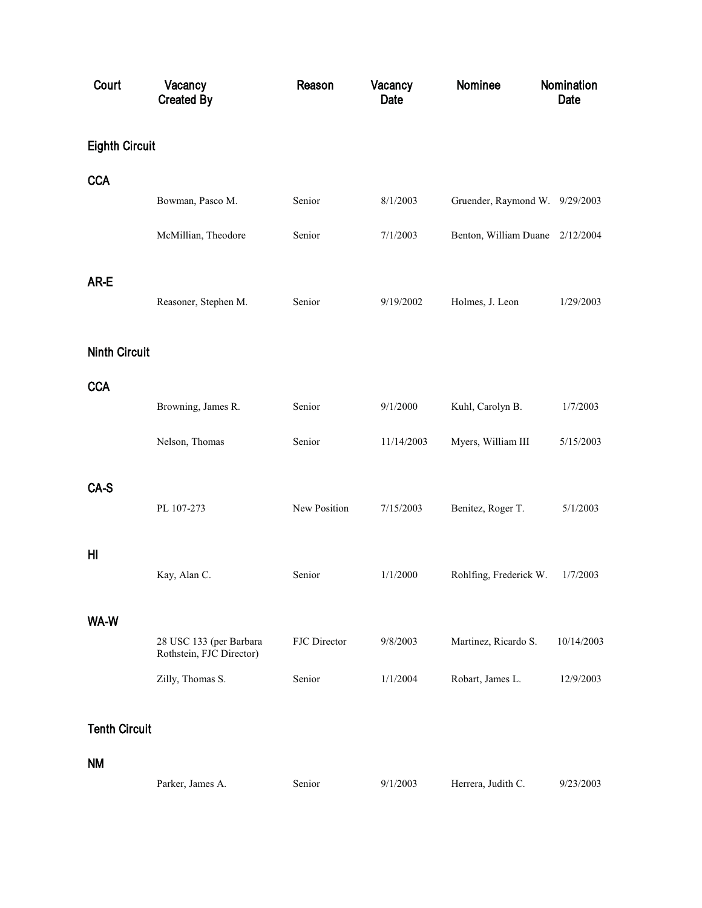| Court                 | Vacancy<br><b>Created By</b>                        | Reason       | Vacancy<br>Date | Nominee                         | Nomination<br>Date |
|-----------------------|-----------------------------------------------------|--------------|-----------------|---------------------------------|--------------------|
| <b>Eighth Circuit</b> |                                                     |              |                 |                                 |                    |
| <b>CCA</b>            |                                                     |              |                 |                                 |                    |
|                       | Bowman, Pasco M.                                    | Senior       | 8/1/2003        | Gruender, Raymond W. 9/29/2003  |                    |
|                       | McMillian, Theodore                                 | Senior       | 7/1/2003        | Benton, William Duane 2/12/2004 |                    |
| AR-E                  |                                                     |              |                 |                                 |                    |
|                       | Reasoner, Stephen M.                                | Senior       | 9/19/2002       | Holmes, J. Leon                 | 1/29/2003          |
| <b>Ninth Circuit</b>  |                                                     |              |                 |                                 |                    |
| <b>CCA</b>            |                                                     |              |                 |                                 |                    |
|                       | Browning, James R.                                  | Senior       | 9/1/2000        | Kuhl, Carolyn B.                | 1/7/2003           |
|                       | Nelson, Thomas                                      | Senior       | 11/14/2003      | Myers, William III              | 5/15/2003          |
| CA-S                  |                                                     |              |                 |                                 |                    |
|                       | PL 107-273                                          | New Position | 7/15/2003       | Benitez, Roger T.               | 5/1/2003           |
| HI                    |                                                     |              |                 |                                 |                    |
|                       | Kay, Alan C.                                        | Senior       | 1/1/2000        | Rohlfing, Frederick W.          | 1/7/2003           |
| WA-W                  |                                                     |              |                 |                                 |                    |
|                       | 28 USC 133 (per Barbara<br>Rothstein, FJC Director) | FJC Director | 9/8/2003        | Martinez, Ricardo S.            | 10/14/2003         |
|                       | Zilly, Thomas S.                                    | Senior       | 1/1/2004        | Robart, James L.                | 12/9/2003          |
| <b>Tenth Circuit</b>  |                                                     |              |                 |                                 |                    |
| NΜ                    |                                                     |              |                 |                                 |                    |
|                       | Parker, James A.                                    | Senior       | 9/1/2003        | Herrera, Judith C.              | 9/23/2003          |